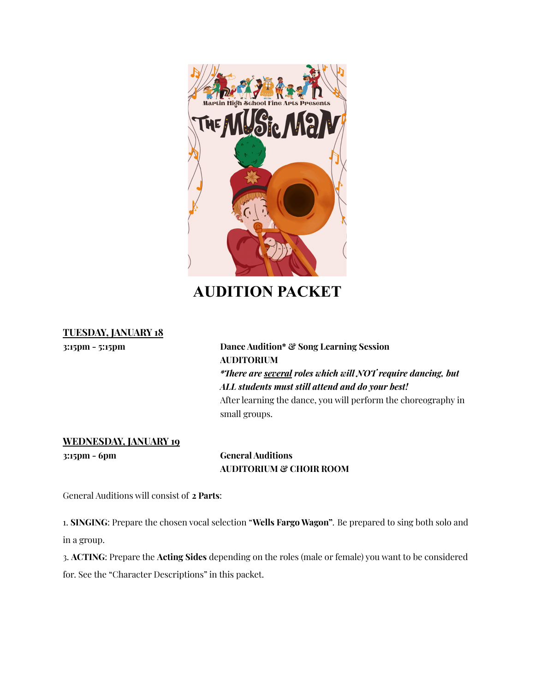

# **AUDITION PACKET**

# **TUESDAY, JANUARY 18**

**3:15pm - 5:15pm Dance Audition\* & Song Learning Session AUDITORIUM** *\*There are several roles which will NOT require dancing, but ALL students must still attend and do your best!* After learning the dance, you will perform the choreography in small groups.

# **WEDNESDAY, JANUARY 19**

**3:15pm - 6pm General Auditions AUDITORIUM & CHOIR ROOM**

General Auditions will consist of **2 Parts**:

1. **SINGING**: Prepare the chosen vocal selection "**Wells Fargo Wagon"***.* Be prepared to sing both solo and in a group.

3. **ACTING**: Prepare the **Acting Sides** depending on the roles (male or female) you want to be considered for. See the "Character Descriptions" in this packet.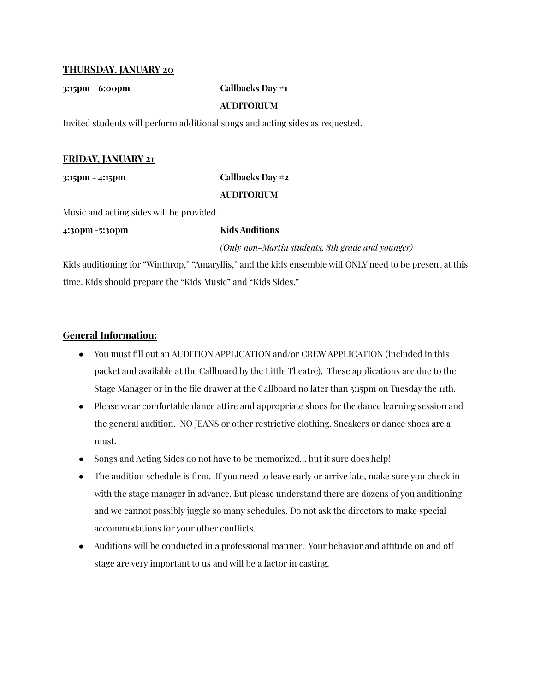## **THURSDAY, JANUARY 20**

## **3:15pm - 6:00pm Callbacks Day #1**

# **AUDITORIUM**

Invited students will perform additional songs and acting sides as requested.

# **FRIDAY, JANUARY 21**

# **3:15pm - 4:15pm Callbacks Day #2 AUDITORIUM**

Music and acting sides will be provided.

**4:30pm**-**5:30pm Kids Auditions**

*(Only non-Martin students, 8th grade and younger)*

Kids auditioning for "Winthrop," "Amaryllis," and the kids ensemble will ONLY need to be present at this time. Kids should prepare the "Kids Music" and "Kids Sides."

# **General Information:**

- You must fill out an AUDITION APPLICATION and/or CREW APPLICATION (included in this packet and available at the Callboard by the Little Theatre). These applications are due to the Stage Manager or in the file drawer at the Callboard no later than 3:15pm on Tuesday the 11th.
- Please wear comfortable dance attire and appropriate shoes for the dance learning session and the general audition. NO JEANS or other restrictive clothing. Sneakers or dance shoes are a must.
- Songs and Acting Sides do not have to be memorized... but it sure does help!
- The audition schedule is firm. If you need to leave early or arrive late, make sure you check in with the stage manager in advance. But please understand there are dozens of you auditioning and we cannot possibly juggle so many schedules. Do not ask the directors to make special accommodations for your other conflicts.
- Auditions will be conducted in a professional manner. Your behavior and attitude on and off stage are very important to us and will be a factor in casting.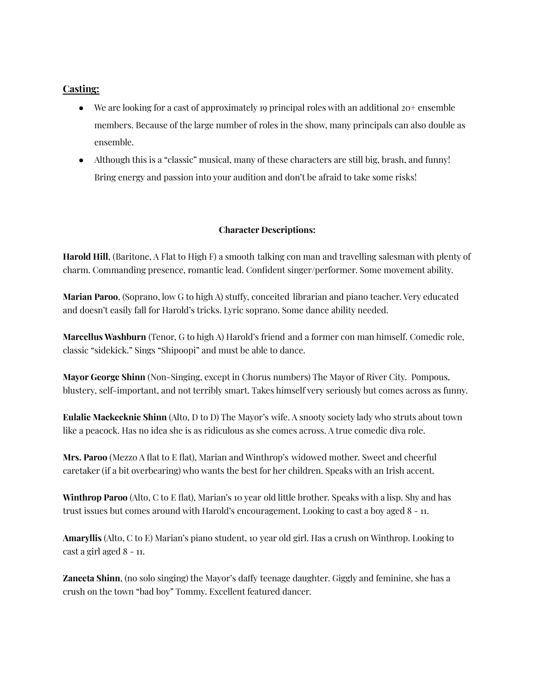# **Casting:**

- We are looking for a cast of approximately 19 principal roles with an additional  $20^+$  ensemble members. Because of the large number of roles in the show, many principals can also double as ensemble.
- Although this is a "classic" musical, many of these characters are still big, brash, and funny! Bring energy and passion into your audition and don't be afraid to take some risks!

## **Character Descriptions:**

**Harold Hill**, (Baritone, A Flat to High F) a smooth talking con man and travelling salesman with plenty of charm. Commanding presence, romantic lead. Confident singer/performer. Some movement ability.

**Marian Paroo**, (Soprano, low G to high A) stuffy, conceited librarian and piano teacher. Very educated and doesn't easily fall for Harold's tricks. Lyric soprano. Some dance ability needed.

**Marcellus Washburn** (Tenor, G to high A) Harold's friend and a former con man himself. Comedic role, classic "sidekick." Sings "Shipoopi" and must be able to dance.

**Mayor George Shinn** (Non-Singing, except in Chorus numbers) The Mayor of River City. Pompous, blustery, self-important, and not terribly smart. Takes himself very seriously but comes across as funny.

**Eulalie Mackecknie Shinn** (Alto, D to D) The Mayor's wife. A snooty society lady who struts about town like a peacock. Has no idea she is as ridiculous as she comes across. A true comedic diva role.

**Mrs. Paroo** (Mezzo A flat to E flat), Marian and Winthrop's widowed mother. Sweet and cheerful caretaker (if a bit overbearing) who wants the best for her children. Speaks with an Irish accent.

**Winthrop Paroo** (Alto, C to E flat), Marian's 10 year old little brother. Speaks with a lisp. Shy and has trust issues but comes around with Harold's encouragement. Looking to cast a boy aged 8 - 11.

**Amaryllis** (Alto, C to E) Marian's piano student, 10 year old girl. Has a crush on Winthrop. Looking to cast a girl aged 8 - 11.

**Zaneeta Shinn**, (no solo singing) the Mayor's daffy teenage daughter. Giggly and feminine, she has a crush on the town "bad boy" Tommy. Excellent featured dancer.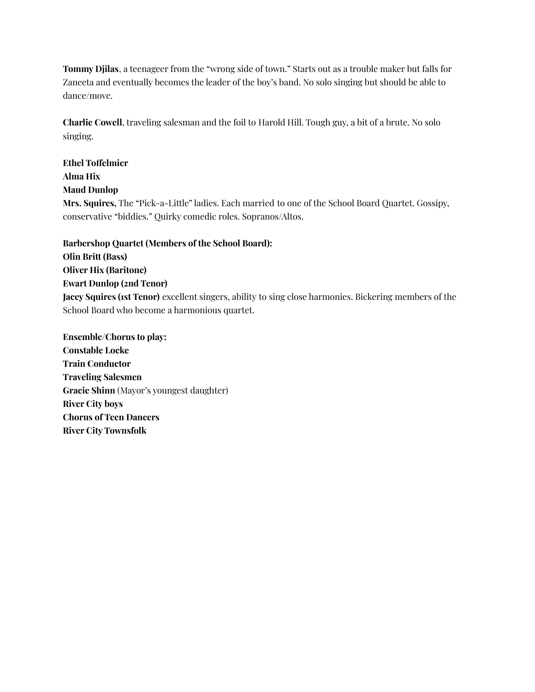**Tommy Djilas**, a teenageer from the "wrong side of town." Starts out as a trouble maker but falls for Zaneeta and eventually becomes the leader of the boy's band. No solo singing but should be able to dance/move.

**Charlie Cowell**, traveling salesman and the foil to Harold Hill. Tough guy, a bit of a brute. No solo singing.

**Ethel Toffelmier Alma Hix Maud Dunlop Mrs. Squires,** The "Pick-a-Little" ladies. Each married to one of the School Board Quartet. Gossipy, conservative "biddies." Quirky comedic roles. Sopranos/Altos.

**Barbershop Quartet (Members of the School Board): Olin Britt (Bass) Oliver Hix (Baritone) Ewart Dunlop (2nd Tenor) Jacey Squires (1st Tenor)** excellent singers, ability to sing close harmonies. Bickering members of the School Board who become a harmonious quartet.

**Ensemble/Chorus to play: Constable Locke Train Conductor Traveling Salesmen Gracie Shinn** (Mayor's youngest daughter) **River City boys Chorus of Teen Dancers River City Townsfolk**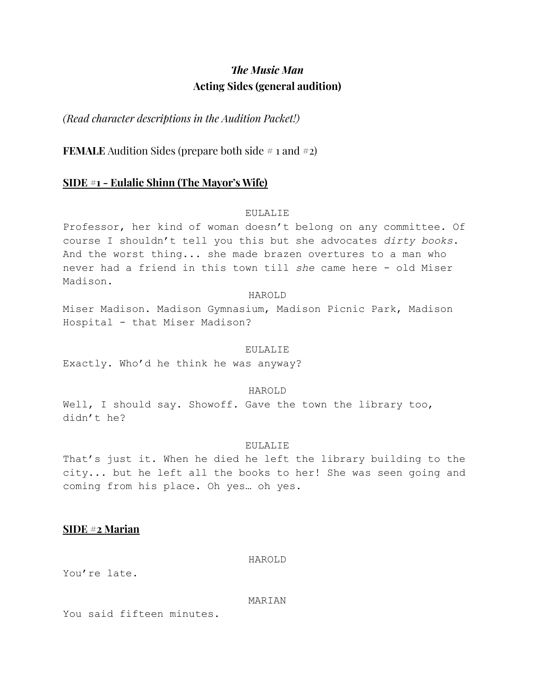# *The Music Man* **Acting Sides (general audition)**

*(Read character descriptions in the Audition Packet!)*

**FEMALE** Audition Sides (prepare both side  $\#$  1 and  $\#$ 2)

## **SIDE #1 - Eulalie Shinn (The Mayor's Wife)**

## EULALIE

Professor, her kind of woman doesn't belong on any committee. Of course I shouldn't tell you this but she advocates *dirty books*. And the worst thing... she made brazen overtures to a man who never had a friend in this town till *she* came here - old Miser Madison.

#### HAROLD

Miser Madison. Madison Gymnasium, Madison Picnic Park, Madison Hospital - that Miser Madison?

#### EULALIE

Exactly. Who'd he think he was anyway?

## HAROLD

Well, I should say. Showoff. Gave the town the library too, didn't he?

#### EULALIE

That's just it. When he died he left the library building to the city... but he left all the books to her! She was seen going and coming from his place. Oh yes… oh yes.

## **SIDE #2 Marian**

#### HAROLD

You're late.

#### MARIAN

You said fifteen minutes.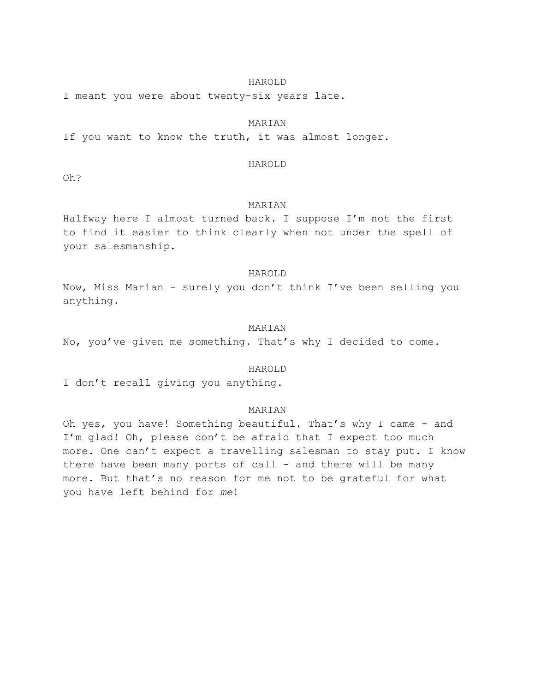#### HAROLD

I meant you were about twenty-six years late.

#### MARIAN

If you want to know the truth, it was almost longer.

#### HAROLD

Oh?

#### MARIAN

Halfway here I almost turned back. I suppose I'm not the first to find it easier to think clearly when not under the spell of your salesmanship.

#### HAROLD

Now, Miss Marian - surely you don't think I've been selling you anything.

#### MARIAN

No, you've given me something. That's why I decided to come.

#### HAROLD

I don't recall giving you anything.

#### MARIAN

Oh yes, you have! Something beautiful. That's why I came - and I'm glad! Oh, please don't be afraid that I expect too much more. One can't expect a travelling salesman to stay put. I know there have been many ports of call - and there will be many more. But that's no reason for me not to be grateful for what you have left behind for *me*!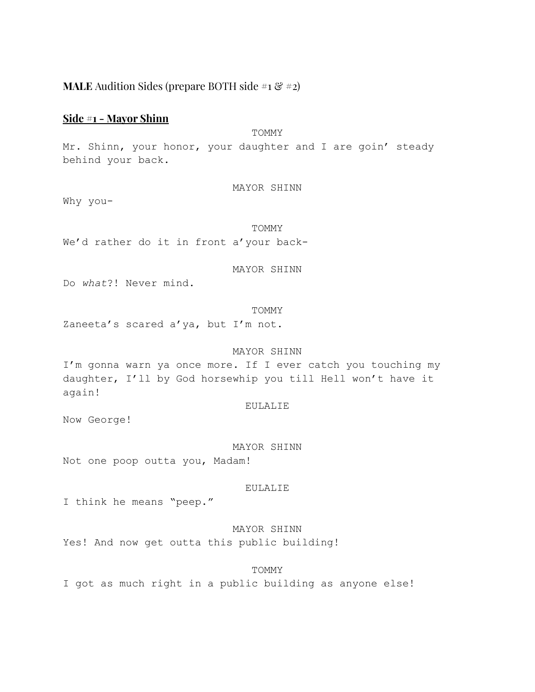# **MALE** Audition Sides (prepare BOTH side  $\#_1 \& \#_2$ )

## **Side #1 - Mayor Shinn**

# **TOMMY**

Mr. Shinn, your honor, your daughter and I are goin' steady behind your back.

### MAYOR SHINN

Why you-

TOMMY We'd rather do it in front a'your back-

## MAYOR SHINN

Do *what*?! Never mind.

#### TOMMY

Zaneeta's scared a'ya, but I'm not.

#### MAYOR SHINN

I'm gonna warn ya once more. If I ever catch you touching my daughter, I'll by God horsewhip you till Hell won't have it again!

#### EULALIE

Now George!

#### MAYOR SHINN

Not one poop outta you, Madam!

#### EULALIE

I think he means "peep."

# MAYOR SHINN

Yes! And now get outta this public building!

#### TOMMY

I got as much right in a public building as anyone else!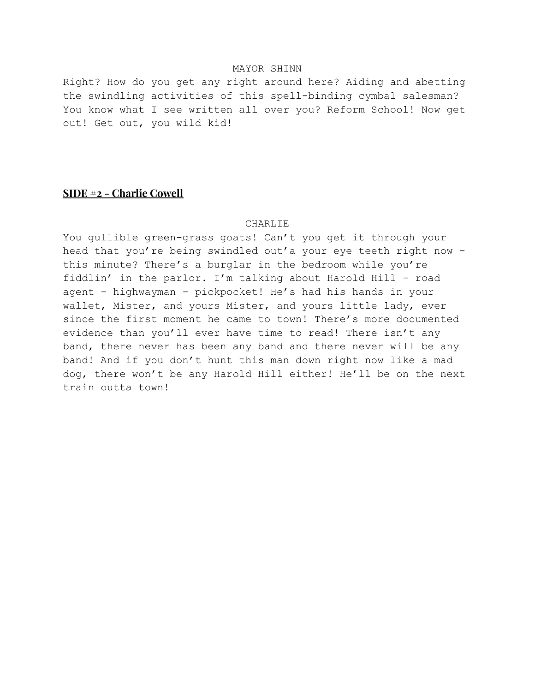## MAYOR SHINN

Right? How do you get any right around here? Aiding and abetting the swindling activities of this spell-binding cymbal salesman? You know what I see written all over you? Reform School! Now get out! Get out, you wild kid!

# **SIDE #2 - Charlie Cowell**

#### CHARLIE

You gullible green-grass goats! Can't you get it through your head that you're being swindled out'a your eye teeth right now this minute? There's a burglar in the bedroom while you're fiddlin' in the parlor. I'm talking about Harold Hill - road agent - highwayman - pickpocket! He's had his hands in your wallet, Mister, and yours Mister, and yours little lady, ever since the first moment he came to town! There's more documented evidence than you'll ever have time to read! There isn't any band, there never has been any band and there never will be any band! And if you don't hunt this man down right now like a mad dog, there won't be any Harold Hill either! He'll be on the next train outta town!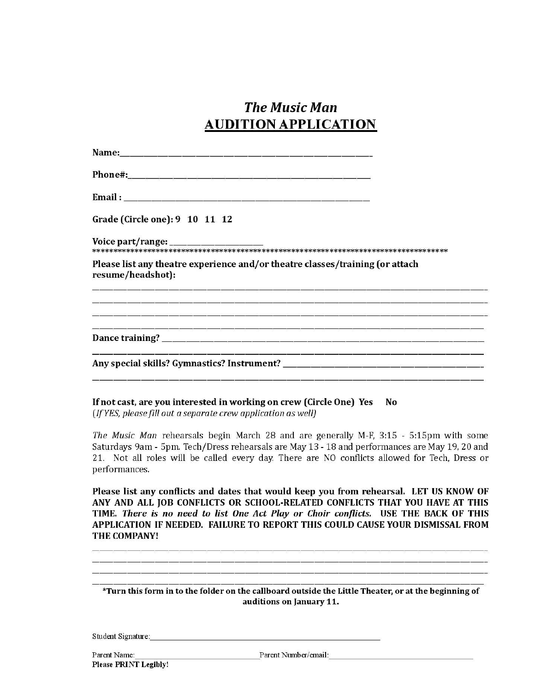# **The Music Man AUDITION APPLICATION**

| Grade (Circle one): 9 10 11 12                                                                     |
|----------------------------------------------------------------------------------------------------|
|                                                                                                    |
| Please list any theatre experience and/or theatre classes/training (or attach<br>resume/headshot): |
|                                                                                                    |
|                                                                                                    |
|                                                                                                    |

If not cast, are you interested in working on crew (Circle One) Yes No (If YES, please fill out a separate crew application as well)

The Music Man rehearsals begin March 28 and are generally M-F, 3:15 - 5:15pm with some Saturdays 9am - 5pm. Tech/Dress rehearsals are May 13 - 18 and performances are May 19, 20 and 21. Not all roles will be called every day. There are NO conflicts allowed for Tech, Dress or performances.

Please list any conflicts and dates that would keep you from rehearsal. LET US KNOW OF ANY AND ALL JOB CONFLICTS OR SCHOOL-RELATED CONFLICTS THAT YOU HAVE AT THIS TIME. There is no need to list One Act Play or Choir conflicts. USE THE BACK OF THIS APPLICATION IF NEEDED. FAILURE TO REPORT THIS COULD CAUSE YOUR DISMISSAL FROM THE COMPANY!

\*Turn this form in to the folder on the callboard outside the Little Theater, or at the beginning of auditions on January 11.

Student Signature:

Parent Name:

**Please PRINT Legibly!** 

Parent Number/email: